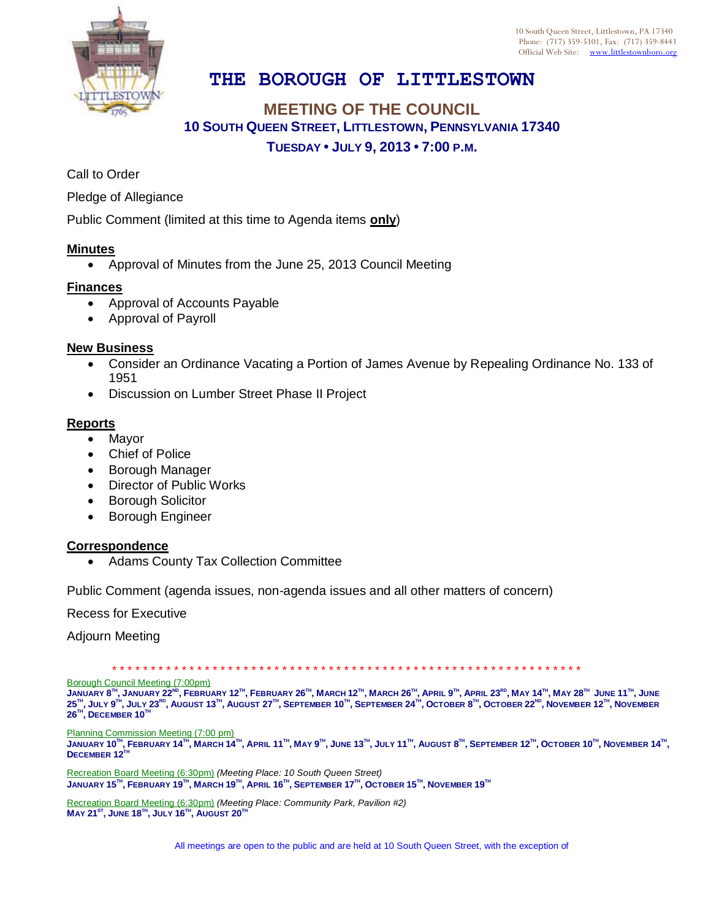

10 South Queen Street, Littlestown, PA 17340 Phone: (717) 359-5101, Fax: (717) 359-8441 Official Web Site: [www.littlestownboro.org](http://www.littlestown.us/)

# **THE BOROUGH OF LITTLESTOWN**

## **MEETING OF THE COUNCIL 10 SOUTH QUEEN STREET, LITTLESTOWN, PENNSYLVANIA 17340 TUESDAY • JULY 9, 2013 • 7:00 P.M.**

Call to Order

Pledge of Allegiance

Public Comment (limited at this time to Agenda items **only**)

#### **Minutes**

Approval of Minutes from the June 25, 2013 Council Meeting

#### **Finances**

- Approval of Accounts Payable
- Approval of Payroll

### **New Business**

- Consider an Ordinance Vacating a Portion of James Avenue by Repealing Ordinance No. 133 of 1951
- Discussion on Lumber Street Phase II Project

#### **Reports**

- Mayor
- Chief of Police
- Borough Manager
- Director of Public Works
- Borough Solicitor
- **•** Borough Engineer

#### **Correspondence**

Adams County Tax Collection Committee

Public Comment (agenda issues, non-agenda issues and all other matters of concern)

Recess for Executive

Adjourn Meeting

\* \* \* \* \* \* \* \* \* \* \* \* \* \* \* \* \* \* \* \* \* \* \* \* \* \* \* \* \* \* \* \* \* \* \* \* \* \* \* \* \* \* \* \* \* \* \* \* \* \* \* \* \* \* \* \* \* \* \* \* \*

Borough Council Meeting (7:00pm)

JANUARY 8™, JANUARY 22<sup>№</sup>, FEBRUARY 12™, FEBRUARY 26™, MARCH 12™, MARCH 26™, APRIL 9™, APRIL 23<sup>№,</sup> MAY 14™, MAY 28™ JUNE 11™, JUNE  $25^{\text{m}},$  July  $9^{\text{m}},$  July  $23^{\text{no}}$ , August 13 $^{\text{m}},$  August  $27^{\text{m}},$  September  $10^{\text{m}},$  September  $24^{\text{m}},$  October  $8^{\text{m}},$  October  $22^{\text{no}},$  November  $12^{\text{m}},$  November  $26^{\text{\tiny{TH}}}$ ,  $\textsf{DECEMBER}\ 10^{\text{\tiny{TH}}}$ 

Planning Commission Meeting (7:00 pm)

JANUARY 10™, FEBRUARY 14™, MARCH 14™, APRIL 11™, MAY 9™, JUNE 13™, JULY 11™, AUGUST 8™, SEPTEMBER 12™, OCTOBER 10™, NOVEMBER 14™, **DECEMBER 12TH**

Recreation Board Meeting (6:30pm) *(Meeting Place: 10 South Queen Street)*  $\,$ January 15 $^{\rm{7H}}$ , February 19 $^{\rm{7H}}$ , March 19 $^{\rm{7H}}$ , April 16 $^{\rm{7H}}$ , September 17 $^{\rm{7H}}$ , October 15 $^{\rm{7H}}$ , November 19 $^{\rm{7H}}$ 

Recreation Board Meeting (6:30pm) *(Meeting Place: Community Park, Pavilion #2)* **MAY 21ST , JUNE 18TH , JULY 16TH , AUGUST 20TH**